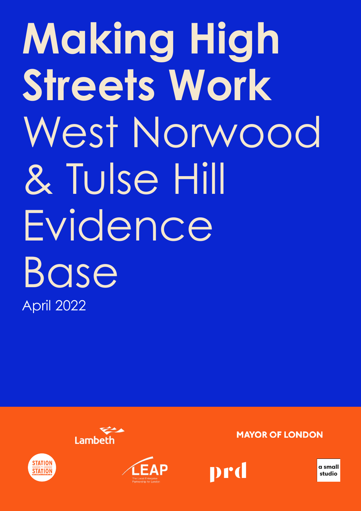### **Making High Streets Work** West Norwood & Tulse Hill Evidence Base April 2022







**MAYOR OF LONDON** 



**a small studio**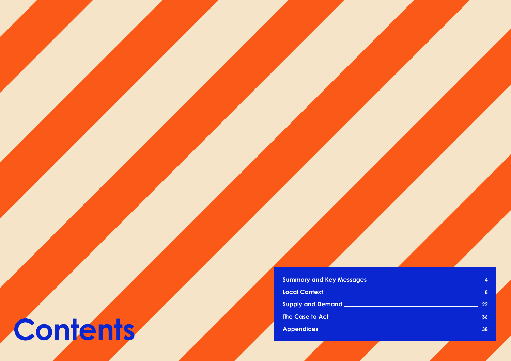2 A collaboration between **PRD** and **a small studio**

**3**

## **Contents**

### **Summary and Key Messages**

**Local Context**

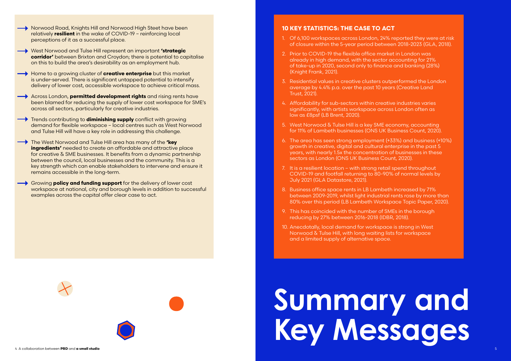- Norwood Road, Knights Hill and Norwood High Steet have been relatively **resilient** in the wake of COVID-19 – reinforcing local perceptions of it as a successful place.
- West Norwood and Tulse Hill represent an important **'strategic corridor'** between Brixton and Croydon; there is potential to capitalise on this to build the area's desirability as an employment hub.
- **Home to a growing cluster of creative enterprise** but this market is under-served. There is significant untapped potential to intensify delivery of lower cost, accessible workspace to achieve critical mass.
- Across London, **permitted development rights** and rising rents have been blamed for reducing the supply of lower cost workspace for SME's across all sectors, particularly for creative industries.
- Trends contributing to **diminishing supply** conflict with growing demand for flexible workspace – local centres such as West Norwood and Tulse Hill will have a key role in addressing this challenge.
- The West Norwood and Tulse Hill area has many of the **'key ingredients'** needed to create an affordable and attractive place for creative & SME businesses. It benefits from a dynamic partnership between the council, local businesses and the community. This is a key strength which can enable stakeholders to intervene and ensure it remains accessible in the long-term.
- Growing **policy and funding support** for the delivery of lower cost workspace at national, city and borough levels in addition to successful examples across the capital offer clear case to act.





### **Summary and Key Messages**

### **10 KEY STATISTICS: THE CASE TO ACT**

- 1. Of 6,100 workspaces across London, 24% reported they were at risk of closure within the 5-year period between 2018-2023 (GLA, 2018).
- 2. Prior to COVID-19 the flexible office market in London was already in high demand, with the sector accounting for 21% of take-up in 2020, second only to finance and banking (28%) (Knight Frank, 2021).
- 3. Residential values in creative clusters outperformed the London average by 4.4% p.a. over the past 10 years (Creative Land Trust, 2021).
- 4. Affordability for sub-sectors within creative industries varies significantly, with artists workspace across London often as low as £8psf (LB Brent, 2020).
- 5. West Norwood & Tulse Hill is a key SME economy, accounting for 11% of Lambeth businesses (ONS UK Business Count, 2020).
- 6. The area has seen strong employment (+33%) and business (+10%) growth in creative, digital and cultural enterprise in the past 5 years, with nearly 1.5x the concentration of businesses in these sectors as London (ONS UK Business Count, 2020).
- 7. It is a resilient location with strong retail spend throughout COVID-19 and footfall returning to 80-90% of normal levels by July 2021 (GLA Datastore, 2021).
- 8. Business office space rents in LB Lambeth increased by 71% between 2009-2019, whilst light industrial rents rose by more than 80% over this period (LB Lambeth Workspace Topic Paper, 2020).
- 9. This has coincided with the number of SMEs in the borough reducing by 27% between 2016-2018 (IDBR, 2018).
- 10. Anecdotally, local demand for workspace is strong in West Norwood & Tulse Hill, with long waiting lists for workspace and a limited supply of alternative space.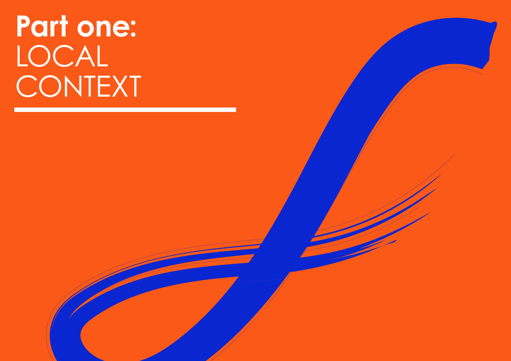### **Part one:** LOCAL CONTEXT

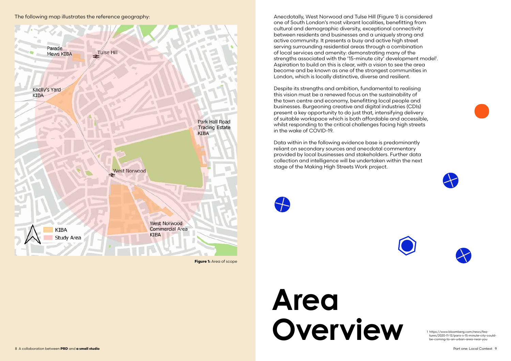Anecdotally, West Norwood and Tulse Hill (Figure 1) is considered one of South London's most vibrant localities, benefitting from cultural and demographic diversity, exceptional connectivity between residents and businesses and a uniquely strong and active community. It presents a busy and active high street serving surrounding residential areas through a combination of local services and amenity: demonstrating many of the strengths associated with the '15-minute city' development model<sup>1</sup>. Aspiration to build on this is clear, with a vision to see the area become and be known as one of the strongest communities in London, which is locally distinctive, diverse and resilient.

### **Area**  Thttps://www.bloomberg.com/news/fea-<br>tures/2020-11-12/paris-s-15-minute-city-comparis-<br>he-coming-to-on-urbin-greg-negr-you

Despite its strengths and ambition, fundamental to realising this vision must be a renewed focus on the sustainability of the town centre and economy, benefitting local people and businesses. Burgeoning creative and digital industries (CDIs) present a key opportunity to do just that, intensifying delivery of suitable workspace which is both affordable and accessible, whilst responding to the critical challenges facing high streets in the wake of COVID-19.

Data within in the following evidence base is predominantly reliant on secondary sources and anecdotal commentary provided by local businesses and stakeholders. Further data collection and intelligence will be undertaken within the next stage of the Making High Streets Work project.



tures/2020-11-12/paris-s-15-minute-city-couldbe-coming-to-an-urban-area-near-you

The following map illustrates the reference geography:











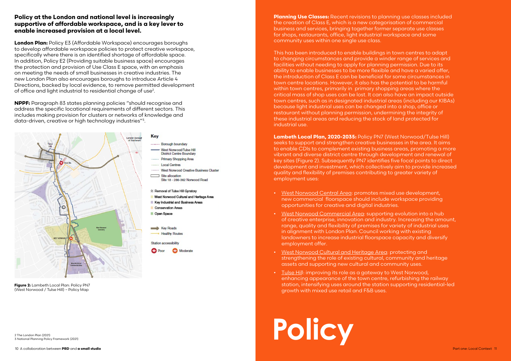### **Policy at the London and national level is increasingly supportive of affordable workspace, and is a key lever to enable increased provision at a local level.**

**London Plan:** Policy E3 (Affordable Workspace) encourages boroughs to develop affordable workspace policies to protect creative workspace, specifically where there is an identified shortage of affordable space. In addition, Policy E2 (Providing suitable business space) encourages the protection and provision of Use Class E space, with an emphasis on meeting the needs of small businesses in creative industries. The new London Plan also encourages boroughs to introduce Article 4 Directions, backed by local evidence, to remove permitted development of office and light industrial to residential change of use $^2$ .

**Planning Use Classes:** Recent revisions to planning use classes included the creation of Class E, which is a new categorisation of commercial business and services, bringing together former separate use classes for shops, restaurants, office, light industrial workspace and some community uses within one single use class.

**NPPF:** Paragraph 83 states planning policies "should recognise and address the specific locational requirements of different sectors. This includes making provision for clusters or networks of knowledge and data-driven, creative or high technology industries"3.

This has been introduced to enable buildings in town centres to adapt to changing circumstances and provide a winder range of services and facilities without needing to apply for planning permission. Due to its ability to enable businesses to be more flexible and have a varied offer, the introduction of Class E can be beneficial for some circumstances in town centre locations. However, it also has the potential to be harmful within town centres, primarily in primary shopping areas where the critical mass of shop uses can be lost. It can also have an impact outside town centres, such as in designated industrial areas (including our KIBAs) because light industrial uses can be changed into a shop, office or restaurant without planning permission, undermining the integrity of these industrial areas and reducing the stock of land protected for industrial use.



**Figure 2:** Lambeth Local Plan: Policy PN7 (West Norwood / Tulse Hill) – Policy Map

**Lambeth Local Plan, 2020-2035:** Policy PN7 (West Norwood/Tulse Hill) seeks to support and strengthen creative businesses in the area. It aims to enable CDIs to complement existing business areas, promoting a more vibrant and diverse district centre through development and renewal of key sites (Figure 2). Subsequently PN7 identifies five focal points to direct development and investment, which collectively aim to provide increased quality and flexibility of premises contributing to greater variety of employment uses:

- West Norwood Central Area: promotes mixed use development, new commercial floorspace should include workspace providing opportunities for creative and digital industries.
- West Norwood Commercial Area: supporting evolution into a hub of creative enterprise, innovation and industry. Increasing the amount, range, quality and flexibility of premises for variety of industrial uses in alignment with London Plan. Council working with existing landowners to increase industrial floorspace capacity and diversify employment offer.
- West Norwood Cultural and Heritage Area: protecting and strengthening the role of existing cultural, community and heritage assets and supporting new cultural and community uses.
- Tulse Hill: improving its role as a gateway to West Norwood, enhancing appearance of the town centre, refurbishing the railway station, intensifying uses around the station supporting residential-led growth with mixed use retail and F&B uses.

# 2 The London Plan (2021)<br>3 National Planning Policy Framework (2021)<br>**Planning Policy Framework (2021)**

2 The London Plan (2021)

### Key

------ Borough boundary Most Nonwood/Tulse Hill

- **District Centre Boundary** Primary Shopping Area
- **Local Centres**
- ......... West Norwood Creative Business Cluster
- Site allocation Site 18 - 286-362 Norwood Road

### % Removal of Tulse Hill Gyratory

- West Norwood Cultural and Heritage Area
- Key Industrial and Business Areas
- Conservation Areas
- Open Space

Key Roads **Healthy Routes** Station accessibility

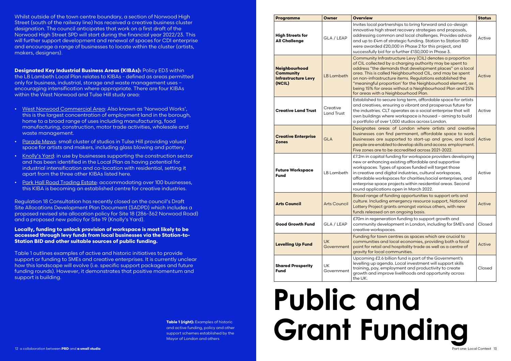Whilst outside of the town centre boundary, a section of Norwood High Street (south of the railway line) has received a creative business cluster designation. The council anticipates that work on a first draft of the Norwood High Street SPD will start during the financial year 2022/23. This will further support development and renewal of spaces for CDI enterprise and encourage a range of businesses to locate within the cluster (artists, makers, designers).

**Designated Key Industrial Business Areas (KIBAs):** Policy ED3 within the LB Lambeth Local Plan relates to KIBAs - defined as areas permitted only for business, industrial, storage and waste management uses – encouraging intensification where appropriate. There are four KIBAs within the West Norwood and Tulse Hill study area:

- West Norwood Commercial Area: Also known as 'Norwood Works', this is the largest concentration of employment land in the borough, home to a broad range of uses including manufacturing, food manufacturing, construction, motor trade activities, wholesale and waste management.
- Parade Mews: small cluster of studios in Tulse Hill providing valued space for artists and makers, including glass blowing and pottery.
- Knolly's Yard: in use by businesses supporting the construction sector and has been identified in the Local Plan as having potential for industrial intensification and co-location with residential, setting it apart from the three other KIBAs listed here.
- Park Hall Road Trading Estate: accommodating over 100 businesses, this KIBA is becoming an established centre for creative industries.

Regulation 18 Consultation has recently closed on the council's Draft Site Allocations Development Plan Document (SADPD) which includes a proposed revised site allocation policy for Site 18 (286-362 Norwood Road) and a proposed new policy for Site 19 (Knolly's Yard).

### **Locally, funding to unlock provision of workspace is most likely to be accessed through levy funds from local businesses via the Station-to-Station BID and other suitable sources of public funding.**

Table 1 outlines examples of active and historic initiatives to provide support or funding to SMEs and creative enterprises. It is currently unclear how this landscape will evolve (i.e. specific support packages and future funding rounds). However, it demonstrates that positive momentum and support is building.

### **Public and Grant Funding**

| <b>Programme</b>                                                          | Owner                         | <b>Overview</b>                                                                                                                                                                                                                                                                                                                                                                                                                                                           | <b>Status</b> |
|---------------------------------------------------------------------------|-------------------------------|---------------------------------------------------------------------------------------------------------------------------------------------------------------------------------------------------------------------------------------------------------------------------------------------------------------------------------------------------------------------------------------------------------------------------------------------------------------------------|---------------|
| <b>High Streets for</b><br><b>All Challenge</b>                           | GLA / LEAP                    | Invites local partnerships to bring forward and co-design<br>innovative high street recovery strategies and proposals,<br>addressing common and local challenges. Provides advice<br>and up to £4m of strategic funding. Station to Station BID<br>were awarded £20,000 in Phase 2 for this project, and<br>successfully bid for a further £130,000 in Phase 3.                                                                                                           | Active        |
| Neighbourhood<br><b>Community</b><br><b>Infrastructure Levy</b><br>(NCIL) | <b>LB Lambeth</b>             | Community Infrastructure Levy (CIL) denotes a proportion<br>of CIL collected by a charging authority may be spent to<br>address "the demands that development places" on a local<br>area. This is called Neighbourhood CIL, and may be spent<br>on non-infrastructure items. Regulations established the<br>"meaningful proportion' for the Neighbourhood element, as<br>being 15% for areas without a Neighbourhood Plan and 25%<br>for areas with a Neighbourhood Plan. | Active        |
| <b>Creative Land Trust</b>                                                | Creative<br><b>Land Trust</b> | Established to secure long term, affordable space for artists<br>and creatives, ensuring a vibrant and prosperous future for<br>the industries. CLT operates as a social enterprise that will<br>own buildings where workspace is housed - aiming to build<br>a portfolio of over 1,000 studios across London.                                                                                                                                                            | Active        |
| <b>Creative Enterprise</b><br><b>Zones</b>                                | <b>GLA</b>                    | Designates areas of London where artists and creative<br>businesses can find permanent, affordable space to work.<br>Businesses are supported to start-up and grow, and local<br>people are enabled to develop skills and access employment.<br>Five zones are to be accredited across 2021-2022.                                                                                                                                                                         | Active        |
| <b>Future Workspace</b><br><b>Fund</b>                                    | LB Lambeth                    | £7.2m in capital funding for workspace providers developing<br>new or enhancing existing affordable and supportive<br>workspaces. Types of spaces funded will target those<br>in creative and digital industries, cultural workspaces,<br>affordable workspaces for charities/social enterprises, and<br>enterprise space projects within residential areas. Second<br>round applications open in March 2022.                                                             | Active        |
| <b>Arts Council</b>                                                       | <b>Arts Council</b>           | Broad range of funding opportunities to support arts and<br>culture. Including emergency resource support, National<br>Lottery Project grants amongst various others, with new<br>funds released on an ongoing basis.                                                                                                                                                                                                                                                     | Active        |
| <b>Good Growth Fund</b>                                                   | GLA / LEAP                    | £70m in regeneration funding to support growth and<br>community development in London, including for SME's and<br>creative workspaces.                                                                                                                                                                                                                                                                                                                                    | Closed        |
| <b>Levelling Up Fund</b>                                                  | <b>UK</b><br>Government       | Funding for town centres as spaces which are crucial to<br>communities and local economies, providing both a focal<br>point for retail and hospitality trade as well as a centre of<br>gravity for local communities.                                                                                                                                                                                                                                                     | Active        |
| <b>Shared Prosperity</b><br><b>Fund</b>                                   | UK<br>Government              | Upcoming £2.6 billion fund is part of the Government's<br>levelling up agenda. Local investment will support skills<br>training, pay, employment and productivity to create<br>growth and improve livelihoods and opportunity across<br>the UK.                                                                                                                                                                                                                           | Closed        |

**Table 1 (right):** Examples of historic and active funding, policy and other support schemes established by the Mayor of London and others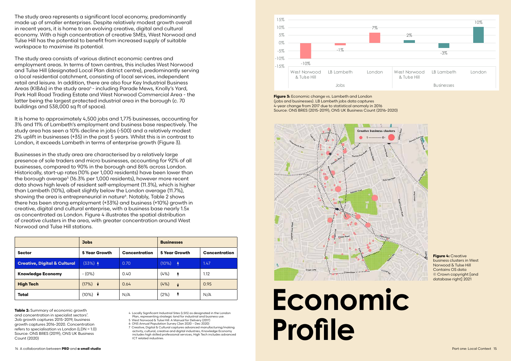

**Figure 3:** Economic change vs. Lambeth and London (jobs and businesses). LB Lambeth jobs data captures 4-year change from 2017 due to statistical anomaly in 2016 Source: ONS BRES (2015-2019); ONS UK Business Count (2016-2020)



**Figure 4:** Creative business clusters in West Norwood & Tulse Hill Contains OS data © Crown copyright [and database right] 2021

### **Economic Profile**

The study area represents a significant local economy, predominantly made up of smaller enterprises. Despite relatively modest growth overall in recent years, it is home to an evolving creative, digital and cultural economy. With a high concentration of creative SMEs, West Norwood and Tulse Hill has the potential to benefit from increased supply of suitable workspace to maximise its potential.

The study area consists of various distinct economic centres and employment areas. In terms of town centres, this includes West Norwood and Tulse Hill (designated Local Plan district centre), predominantly serving a local residential catchment, consisting of local services, independent retail and leisure. In addition, there are also four Key Industrial Business Areas (KIBAs) in the study area<sup>4</sup> - including Parade Mews, Knolly's Yard, Park Hall Road Trading Estate and West Norwood Commercial Area - the latter being the largest protected industrial area in the borough (c. 70 buildings and 538,000 sq ft of space).

**Table 2:** Summary of economic growth and concentration in specialist sectors<sup>7</sup>. Job growth captures 2015-2019, business growth captures 2016-2020. Concentration refers to specialisation vs London (LDN = 1.0) Source: ONS BRES (2019); ONS UK Business Count (2020)

It is home to approximately 4,500 jobs and 1,775 businesses, accounting for 3% and 11% of Lambeth's employment and business base respectively. The study area has seen a 10% decline in jobs (-500) and a relatively modest 2% uplift in businesses (+35) in the past 5 years. Whilst this is in contrast to London, it exceeds Lambeth in terms of enterprise growth (Figure 3).

Businesses in the study area are characterised by a relatively large presence of sole traders and micro businesses, accounting for 92% of all businesses, compared to 90% in the borough and 86% across London. Historically, start-up rates (10% per 1,000 residents) have been lower than the borough average<sup>5</sup> (16.3% per 1,000 residents), however more recent data shows high levels of resident self-employment (11.3%), which is higher than Lambeth (10%), albeit slightly below the London average (11.7%), showing the area is entrepreneurial in nature<sup>6</sup>. Notably, Table 2 shows there has been strong employment (+33%) and business (+10%) growth in creative, digital and cultural enterprise, with a business base nearly 1.5x as concentrated as London. Figure 4 illustrates the spatial distribution of creative clusters in the area, with greater concentration around West Norwood and Tulse Hill stations.

|                                         | <b>Jobs</b>                 |                      | <b>Businesses</b>    |                      |
|-----------------------------------------|-----------------------------|----------------------|----------------------|----------------------|
| <b>Sector</b>                           | <b>5 Year Growth</b>        | <b>Concentration</b> | <b>5 Year Growth</b> | <b>Concentration</b> |
| <b>Creative, Digital &amp; Cultural</b> | $(33%)$ $\uparrow$          | 0.70                 | $(10\%)$ $\uparrow$  | 1.47                 |
| <b>Knowledge Economy</b>                | $-(0%)$                     | 0.40                 | (4%)<br><b>A</b>     | 1.12                 |
| <b>High Tech</b>                        | $(17%) \quad \blacklozenge$ | 0.64                 | (4%)<br>╈            | 0.95                 |
| <b>Total</b>                            | (10%)                       | N/A                  | ╇<br>(2%)            | N/A                  |

4 Locally Significant Industrial Sites (LSIS) as designated in the London Plan, representing strategic land for industrial and business use.

5 West Norwood & Tulse Hill: A Manual for Delivery (2017) 6 ONS Annual Population Survey (Jan 2020 – Dec 2020)

7 Creative, Digital & Cultural captures advanced manufacturing/making activity, cultural, creative and digital industries; Knowledge Economy includes high skilled professional services; High Tech includes advanced ICT related industries.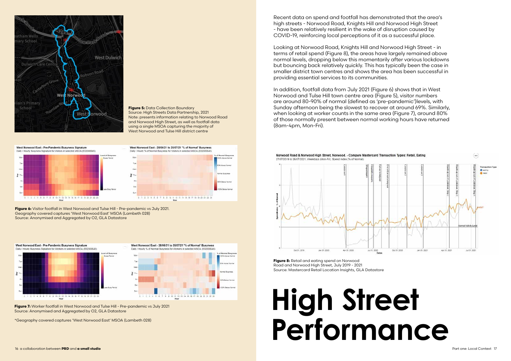**Figure 6:** Visitor footfall in West Norwood and Tulse Hill - Pre-pandemic vs July 2021. Geography covered captures 'West Norwood East' MSOA (Lambeth 028) Source: Anonymised and Aggregated by O2, GLA Datastore



**Figure 7:** Worker footfall in West Norwood and Tulse Hill - Pre-pandemic vs July 2021 Source: Anonymised and Aggregated by O2, GLA Datastore



### **Figure 5: Data Collection Boundary** Source: High Streets Data Partnership, 2021 Note: presents information relating to Norwood Road and Norwood High Street, as well as footfall data using a single MSOA capturing the majority of West Norwood and Tulse Hill district centre

West Norwood East - Pre-Pandemic Busyness Signature Daily / Hough Russiness Simpature for Visitors in selected MSOA (FR2000645)



West Norwood East - 28/06/21 to 25/07/21 "% of Normal" Busyness Daily / Hourly % of Normal Rusuness for Visitors in selected USOA (F020008.45)



\*Geography covered captures 'West Norwood East' MSOA (Lambeth 028)

Recent data on spend and footfall has demonstrated that the area's high streets - Norwood Road, Knights Hill and Norwood High Street - have been relatively resilient in the wake of disruption caused by COVID-19, reinforcing local perceptions of it as a successful place.

27/07/2019 to 26/07/2021. Weekdays (Mon-Fri). Spend Index (% of Normal)



**Figure 8:** Retail and eating spend on Norwood Road and Norwood High Street, July 2019 - 2021 Source: Mastercard Retail Location Insights, GLA Datastore

Looking at Norwood Road, Knights Hill and Norwood High Street - in terms of retail spend (Figure 8), the areas have largely remained above normal levels, dropping below this momentarily after various lockdowns but bouncing back relatively quickly. This has typically been the case in smaller district town centres and shows the area has been successful in providing essential services to its communities.

In addition, footfall data from July 2021 (Figure 6) shows that in West Norwood and Tulse Hill town centre area (Figure 5), visitor numbers are around 80-90% of normal (defined as 'pre-pandemic')levels, with Sunday afternoon being the slowest to recover at around 69%. Similarly, when looking at worker counts in the same area (Figure 7), around 80% of those normally present between normal working hours have returned (8am-4pm, Mon-Fri).

### **High Street Performance**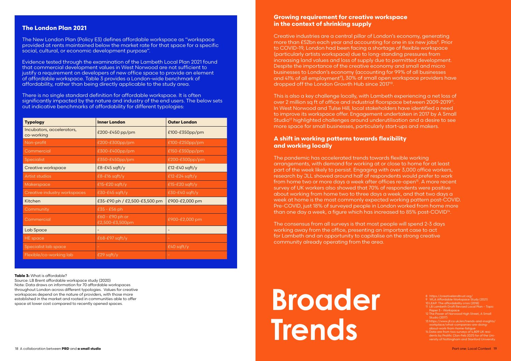Source: LB Brent affordable workspace study (2020) Note: Data draws on information for 70 affordable workspaces throughout London across different typologies. Values for creative workspaces depend on the nature of providers, with those more established in the market and rooted in communities able to offer space at lower cost compared to recently opened spaces.

### **The London Plan 2021**

The New London Plan (Policy E3) defines affordable workspace as "workspace provided at rents maintained below the market rate for that space for a specific social, cultural, or economic development purpose".

Evidence tested through the examination of the Lambeth Local Plan 2021 found that commercial development values in West Norwood are not sufficient to justify a requirement on developers of new office space to provide an element of affordable workspace. Table 3 provides a London-wide benchmark of affordability, rather than being directly applicable to the study area.

There is no single standard definition for affordable workspace. It is often significantly impacted by the nature and industry of the end users. The below sets out indicative benchmarks of affordability for different typologies:

| <b>Typology</b>                         | <b>Inner London</b>                | <b>Outer London</b> |
|-----------------------------------------|------------------------------------|---------------------|
| Incubators, accelerators,<br>co-working | £200-£450 pp/pm                    | £100-£350pp/pm      |
| Non-profit                              | £200-£300pp/pm                     | £100-£250pp/pm      |
| Commercial                              | £300-£400pp/pm                     | £150-£350pp/pm      |
| <b>Specialist</b>                       | £350-£450pp/pm                     | £200-£300pp/pm      |
| <b>Creative workspace</b>               | $£8-E45$ sqft/y                    | $£12-E40$ sqft/y    |
| Artist studios                          | $£8-F16$ sqft/y                    | $£12-E24$ sqft/y    |
| Makerspace                              | £15-£20 sqft/y                     | £15-£20 sqft/y      |
| Creative industry workspaces            | $£30-E45$ sqft/y                   | £30-£40 sqft/y      |
| Kitchen                                 | £35-£90 ph / £2,500-£3,500 pm      | £900-£2,000 pm      |
| Community                               | $£35 - £56 ph$                     |                     |
| Commercial                              | £60 - £90 ph or<br>£2,500-£3,500pm | £900-£2,000 pm      |
| Lab Space                               |                                    |                     |
| <b>HE</b> space                         | £68-£97 sqft/y                     |                     |
| Specialist lab space                    |                                    | $£40$ sqft/y        |
| Flexible/co-working lab                 | £29 sqft/y                         |                     |

### **Table 3:** What is affordable?

### **Growing requirement for creative workspace in the context of shrinking supply**

The consensus from all surveys is that most people will spend 2-3 days working away from the office, presenting an important case to act for Lambeth and an opportunity to capitalise on the strong creative community already operating from the area.

Creative industries are a central pillar of London's economy, generating more than £52bn each year and accounting for one in six new jobs<sup>8</sup>. Prior to COVID-19, London had been facing a shortage of flexible workspace (particularly artists workspace) due to long-standing pressures from increasing land values and loss of supply due to permitted development. Despite the importance of the creative economy and small and micro businesses to London's economy (accounting for 99% of all businesses and 41% of all employment<sup>9</sup>), 30% of small open workspace providers have dropped off the London Growth Hub since 201710.

This is also a key challenge locally, with Lambeth experiencing a net loss of over 2 million sa ft of office and industrial floorspace between 2009-2019<sup>11</sup>. In West Norwood and Tulse Hill, local stakeholders have identified a need to improve its workspace offer. Engagement undertaken in 2017 by A Small Studio<sup>12</sup> highlighted challenges around underutilisation and a desire to see more space for small businesses, particularly start-ups and makers.

### **A shift in working patterns towards flexibility and working locally**

The pandemic has accelerated trends towards flexible working arrangements, with demand for working at or close to home for at least part of the week likely to persist. Engaging with over 3,000 office workers, research by JLL showed around half of respondents would prefer to work from home two or more days a week after offices re-open<sup>13</sup>. A more recent survey of UK workers also showed that 70% of respondents were positive about working from home two to three days a week, and that two days a week at home is the most commonly expected working pattern post-COVID. Pre-COVID, just 18% of surveyed people in London worked from home more than one day a week, a figure which has increased to 85% post-COVID14.

### **Broader Trends**

- 8 https://creativelandtrust.org/
- 9 WLA Affordable Workspace Study (2021)
- 10 LEAP: The affordability crisis (2018)
- 11 LB Lambeth Draft Revised Local Plan Topic Paper 3 - Workspace
- 12 The Power of Norwood High Street, A Small Studio (2017)
- 13 https://www.jll.co.uk/en/trends-and-insights/ workplace/what-companies-are-doingabout-work-from-home-fatigue
- 14 Data are from two surveys of 4,809 UK residents by Prolific (Jan-Feb 2021) for of the University of Nottingham and Stanford University.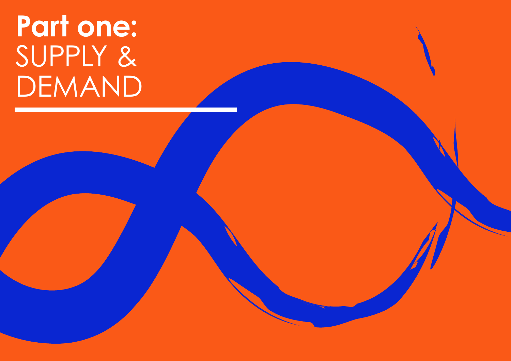### **Part one:** SUPPLY & DEMAND

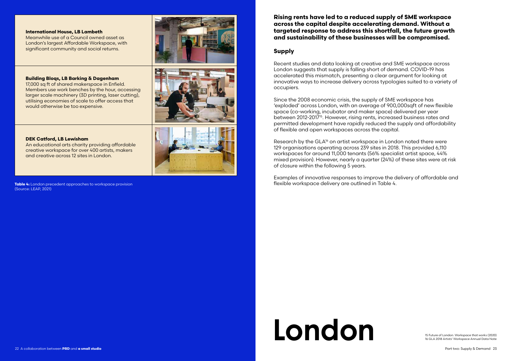**Table 4:** London precedent approaches to workspace provision (Source: LEAP, 2021)

### **International House, LB Lambeth**

Meanwhile use of a Council owned asset as London's largest Affordable Workspace, with significant community and social returns.



### **Building Bloqs, LB Barking & Dagenham**

17,000 sq ft of shared makerspace in Enfield. Members use work benches by the hour, accessing larger scale machinery (3D printing, laser cutting), utilising economies of scale to offer access that would otherwise be too expensive.



### **DEK Catford, LB Lewisham**

An educational arts charity providing affordable creative workspace for over 400 artists, makers and creative across 12 sites in London.

### **Rising rents have led to a reduced supply of SME workspace across the capital despite accelerating demand. Without a targeted response to address this shortfall, the future growth and sustainability of these businesses will be compromised.**

### **Supply**

Research by the GLA<sup>16</sup> on artist workspace in London noted there were 129 organisations operating across 239 sites in 2018. This provided 6,110 workspaces for around 11,000 tenants (56% specialist artist space, 44% mixed provision). However, nearly a quarter (24%) of these sites were at risk of closure within the following 5 years.

Recent studies and data looking at creative and SME workspace across London suggests that supply is falling short of demand. COVID-19 has accelerated this mismatch, presenting a clear argument for looking at innovative ways to increase delivery across typologies suited to a variety of occupiers.

Since the 2008 economic crisis, the supply of SME workspace has 'exploded' across London, with an average of 900,000sqft of new flexible space (co-working, incubator and maker space) delivered per year between 2012-201715. However, rising rents, increased business rates and permitted development have rapidly reduced the supply and affordability of flexible and open workspaces across the capital.

Examples of innovative responses to improve the delivery of affordable and flexible workspace delivery are outlined in Table 4.

### **London: Workspace that works (2020)**<br>15 Future of London: Workspace that works (2020)<br>14 Cl. A 2018 Artists' Workspace Anatual Data Nich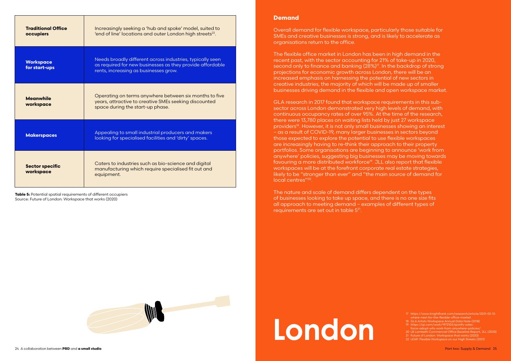| <b>Traditional Office</b><br>occupiers | Increasingly seeking a 'hub and spoke' model, suited to<br>'end of line' locations and outer London high streets <sup>22</sup> .                                |
|----------------------------------------|-----------------------------------------------------------------------------------------------------------------------------------------------------------------|
| <b>Workspace</b><br>for start-ups      | Needs broadly different across industries, typically seen<br>as required for new businesses as they provide affordable<br>rents, increasing as businesses grow. |
| <b>Meanwhile</b><br>workspace          | Operating on terms anywhere between six months to five<br>years, attractive to creative SMEs seeking discounted<br>space during the start-up phase.             |
| <b>Makerspaces</b>                     | Appealing to small industrial producers and makers<br>looking for specialised facilities and 'dirty' spaces.                                                    |
| <b>Sector specific</b><br>workspace    | Caters to industries such as bio-science and digital<br>manufacturing which require specialised fit out and<br>equipment.                                       |

**Table 5:** Potential spatial requirements of different occupiers Source: Future of London: Workspace that works (2020)



### **Demand**

Overall demand for flexible workspace, particularly those suitable for SMEs and creative businesses is strong, and is likely to accelerate as organisations return to the office.

The flexible office market in London has been in high demand in the recent past, with the sector accounting for 21% of take-up in 2020, second only to finance and banking (28%)<sup>17</sup>. In the backdrop of strong projections for economic growth across London, there will be an increased emphasis on harnessing the potential of new sectors in creative industries, the majority of which will be made up of smaller businesses driving demand in the flexible and open workspace market.

GLA research in 2017 found that workspace requirements in this subsector across London demonstrated very high levels of demand, with continuous occupancy rates of over 95%. At the time of the research, there were 13,780 places on waiting lists held by just 27 workspace providers18. However, it is not only small businesses showing an interest – as a result of COVID-19, many larger businesses in sectors beyond those expected to explore the potential to use flexible workspaces are increasingly having to re-think their approach to their property portfolios. Some organisations are beginning to announce 'work from anywhere' policies, suggesting big businesses may be moving towards favouring a more distributed workforce<sup>19</sup>. JLL also report that flexible workspaces will be at the forefront corporate real estate strategies, likely to be "stronger than ever" and "the main source of demand for local centres"20.

The nature and scale of demand differs dependent on the types of businesses looking to take up space, and there is no one size fits all approach to meeting demand – examples of different types of requirements are set out in table 521.

## ELA Artists Workspace Annual Data Note (2018)<br>
19 Https://qz.com/work/1972103/spotify-sales-<br>
force-adopt-wfa-work-from-anywhere-policies/<br>
21 Future of London: Workspace that works (2020)<br>
22 LEAP: Flexible Workspace on o

<sup>17</sup> https://www.knightfrank.com/research/article/2021-02-12 where-next-for-the-flexible-office-marke

<sup>18</sup> GLA Artists Workspace Annual Data Note (2018) 19 https://qz.com/work/1972103/spotify-sales-

force-adopt-wfa-work-from-anywhere-policies/

<sup>20</sup> LB Lambeth Commercial Office Baseline Report, JLL (2020)<br>21 Future of London: Workspace that works (2020)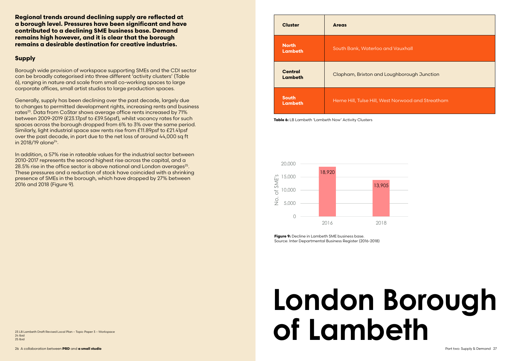

**Table 6:** LB Lambeth 'Lambeth Now' Activity Clusters

**Regional trends around declining supply are reflected at a borough level. Pressures have been significant and have contributed to a declining SME business base. Demand remains high however, and it is clear that the borough remains a desirable destination for creative industries.**

Generally, supply has been declining over the past decade, largely due to changes to permitted development rights, increasing rents and business rates<sup>23</sup>. Data from CoStar shows average office rents increased by 71% between 2009-2019 (£23.17psf to £39.56psf), whilst vacancy rates for such spaces across the borough dropped from 6% to 3% over the same period. Similarly, light industrial space saw rents rise from £11.89psf to £21.41psf over the past decade, in part due to the net loss of around 44,000 sq ft in 2018/19 alone<sup>24</sup>.

### **Supply**

Borough wide provision of workspace supporting SMEs and the CDI sector can be broadly categorised into three different 'activity clusters' (Table 6), ranging in nature and scale from small co-working spaces to large corporate offices, small artist studios to large production spaces.

In addition, a 57% rise in rateable values for the industrial sector between 2010-2017 represents the second highest rise across the capital, and a 28.5% rise in the office sector is above national and London averages<sup>25</sup>. These pressures and a reduction of stock have coincided with a shrinking presence of SMEs in the borough, which have dropped by 27% between 2016 and 2018 (Figure 9).

### **London Borough of Lambeth**



**Figure 9:** Decline in Lambeth SME business base. Source: Inter Departmental Business Register (2016-2018)

23 LB Lambeth Draft Revised Local Plan – Topic Paper 3 – Workspace 24 Ibid 25 Ibid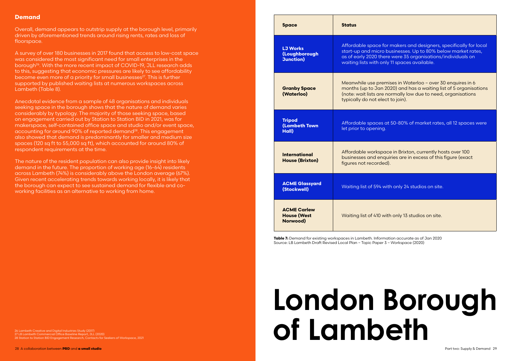### **Demand**

Overall, demand appears to outstrip supply at the borough level, primarily driven by aforementioned trends around rising rents, rates and loss of floorspace.

A survey of over 180 businesses in 2017 found that access to low-cost space was considered the most significant need for small enterprises in the borough<sup>26</sup>. With the more recent impact of COVID-19, JLL research adds to this, suggesting that economic pressures are likely to see affordability become even more of a priority for small businesses<sup>27</sup>. This is further supported by published waiting lists at numerous workspaces across Lambeth (Table 8).

Anecdotal evidence from a sample of 48 organisations and individuals seeking space in the borough shows that the nature of demand varies considerably by typology. The majority of those seeking space, based on engagement carried out by Station to Station BID in 2021, was for makerspace, self-contained office space and studio and/or event space, accounting for around 90% of reported demand<sup>28</sup>. This engagement also showed that demand is predominantly for smaller and medium size spaces (120 sq ft to 55,000 sq ft), which accounted for around 80% of respondent requirements at the time.

### **London Borough**  of Lambeth

The nature of the resident population can also provide insight into likely demand in the future. The proportion of working age (16-64) residents across Lambeth (74%) is considerably above the London average (67%). Given recent accelerating trends towards working locally, it is likely that the borough can expect to see sustained demand for flexible and coworking facilities as an alternative to working from home.

| <b>Space</b>                                          | <b>Status</b>                                                                                               |
|-------------------------------------------------------|-------------------------------------------------------------------------------------------------------------|
| <b>LJ Works</b><br>(Loughborough<br><b>Junction</b> ) | Affordable space for <b>i</b><br>start-up and micro bu<br>as of early 2020 there<br>waiting lists with only |
| <b>Granby Space</b><br>(Waterloo)                     | Meanwhile use premis<br>months (up to Jan 20)<br>(note: wait lists are no<br>typically do not elect         |
| <b>Tripod</b><br><b>(Lambeth Town</b><br>Hall)        | Affordable spaces at<br>let prior to opening.                                                               |
| <b>International</b><br><b>House (Brixton)</b>        | Affordable workspace<br>businesses and enqui<br>figures not recorded).                                      |
| <b>ACME Glassyard</b><br>(Stockwell)                  | Waiting list of 594 with                                                                                    |
| <b>ACME Carlew</b><br><b>House (West</b><br>Norwood)  | Waiting list of 410 with                                                                                    |

**Table 7:** Demand for existing workspaces in Lambeth. Information accurate as of Jan 2020 Source: LB Lambeth Draft Revised Local Plan – Topic Paper 3 – Workspace (2020)

26 Lambeth Creative and Digital Industries Study (2017) 27 LB Lambeth Commercial Office Baseline Report, JLL (2020)

makers and designers, specifically for local  $\mu$ usinesses. Up to 80% below market rates,  $\mu$ e were 35 organisations/individuals on 11 spaces available.

nises in Waterloo – over 30 enquires in 6  $2020$ ) and has a waiting list of 5 organisations (normally low due to need, organisations t to join).

t 50-80% of market rates, all 12 spaces were

ce in Brixton, currently hosts over 100 uiries are in excess of this figure (exact

ith only 24 studios on site.

ith only 13 studios on site.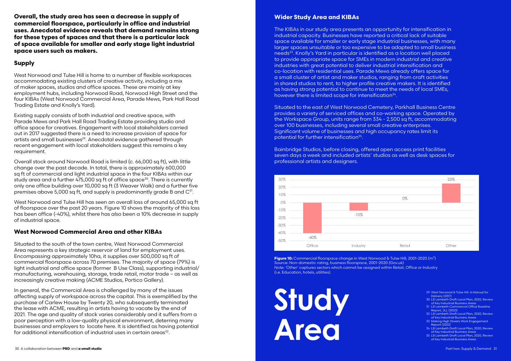**Overall, the study area has seen a decrease in supply of commercial floorspace, particularly in office and industrial uses. Anecdotal evidence reveals that demand remains strong for these types of spaces and that there is a particular lack of space available for smaller and early stage light industrial space users such as makers.**

### **Supply**

West Norwood and Tulse Hill is home to a number of flexible workspaces accommodating existing clusters of creative activity, including a mix of maker spaces, studios and office spaces. These are mainly at key employment hubs, including Norwood Road, Norwood High Street and the four KIBAs (West Norwood Commercial Area, Parade Mews, Park Hall Road Trading Estate and Knolly's Yard).

Overall stock around Norwood Road is limited (c. 66,000 sq ft), with little change over the past decade. In total, there is approximately 600,000 sq ft of commercial and light industrial space in the four KIBAs within our study area and a further 475,000 sq ft of office space<sup>30</sup>. There is currently only one office building over 10,000 sq ft (3 Weaver Walk) and a further five premises above 5,000 sq ft, and supply is predominantly grade B and  $C^{31}$ .

West Norwood and Tulse Hill has seen an overall loss of around 65,000 sq ft of floorspace over the past 20 years. Figure 10 shows the majority of this loss has been office (-40%), whilst there has also been a 10% decrease in supply of industrial space.

Existing supply consists of both industrial and creative space, with Parade Mews and Park Hall Road Trading Estate providing studio and office space for creatives. Engagement with local stakeholders carried out in 2017 suggested there is a need to increase provision of space for artists and small businesses<sup>29</sup>. Anecdotal evidence gathered through recent engagement with local stakeholders suggest this remains a key requirement.

In general, the Commercial Area is challenged by many of the issues affecting supply of workspace across the capital. This is exemplified by the purchase of Carlew House by Twenty 20, who subsequently terminated the lease with ACME, resulting in artists having to vacate by the end of 2021. The age and quality of stock varies considerably and it suffers from a poor perception with a low-quality physical environment, deterring many businesses and employers to locate here. It is identified as having potential for additional intensification of industrial uses in certain areas<sup>32</sup>.

The KIBAs in our study area presents an opportunity for intensification in industrial capacity. Businesses have reported a critical lack of suitable space available for smaller or early stage industrial businesses, with many larger spaces unsuitable or too expensive to be adapted to small business needs<sup>33</sup>. Knolly's Yard in particular is identified as a location well placed to provide appropriate space for SMEs in modern industrial and creative industries with great potential to deliver industrial intensification and co-location with residential uses. Parade Mews already offers space for a small cluster of artist and maker studios, ranging from craft activities in shared studios to rent, to higher profile creative makers. It is identified as having strong potential to continue to meet the needs of local SMEs, however there is limited scope for intensification $34$ .

### **West Norwood Commercial Area and other KIBAs**

Situated to the east of West Norwood Cemetery, Parkhall Business Centre provides a variety of serviced offices and co-working space. Operated by the Workspace Group, units range from 334 - 2,500 sq ft, accommodating over 100 businesses, including several small creative enterprises. Significant volume of businesses and high occupancy rates limit its potential for further intensification<sup>35</sup>.

Situated to the south of the town centre, West Norwood Commercial Area represents a key strategic reservoir of land for employment uses. Encompassing approximately 10ha, it supplies over 500,000 sq ft of commercial floorspace across 70 premises. The majority of space (79%) is light industrial and office space (former B Use Class), supporting industrial/ manufacturing, warehousing, storage, trade retail, motor trade – as well as increasingly creative making (ACME Studios, Portico Gallery).

### **Wider Study Area and KIBAs**

Bainbridge Studios, before closing, offered open access print facilities seven days a week and included artists' studios as well as desk spaces for professional artists and designers.

**Figure 10:** Commercial floorspace change in West Norwood & Tulse Hill, 2001-2020 (m²) Source: Non-domestic rating, business floorspace, 2001-2020 (Gov.uk) Note: 'Other' captures sectors which cannot be assigned within Retail, Office or Industry (i.e. Education, hotels, utilities)

|        | 25%   |  |
|--------|-------|--|
|        |       |  |
| $0\%$  |       |  |
|        |       |  |
|        |       |  |
|        |       |  |
|        |       |  |
| Retail | Other |  |



- 29 West Norwood & Tulse Hill: A Manual for Delivery (2017)
- 30 LB Lambeth Draft Local Plan, 2020, Review of Key Industrial Business Areas
- 31 LB Lambeth Commercial Office Baseline Report, JLL (2020)
- 32 LB Lambeth Draft Local Plan, 2020, Review of Key Industrial Business Areas
- 33 Making High Streets Work Engagement Report (2022)
- 34 LB Lambeth Draft Local Plan, 2020, Review of Key Industrial Business Areas
- 35 LB Lambeth Draft Local Plan, 2020, Review of Key Industrial Business Areas

**Study Area**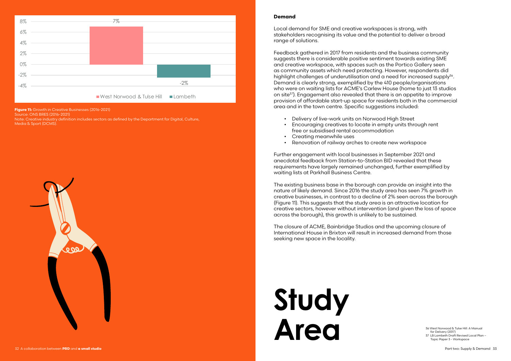Source: ONS BRES (2016-2021)

Note: Creative industry definition includes sectors as defined by the Department for Digital, Culture, Media & Sport (DCMS).





**Figure 11:** Growth in Creative Businesses (2016-2021)

### **Demand**

Local demand for SME and creative workspaces is strong, with stakeholders recognising its value and the potential to deliver a broad range of solutions.

Feedback gathered in 2017 from residents and the business community suggests there is considerable positive sentiment towards existing SME and creative workspace, with spaces such as the Portico Gallery seen as community assets which need protecting. However, respondents did highlight challenges of underutilisation and a need for increased supply<sup>36</sup>. Demand is clearly strong, exemplified by the 410 people/organisations who were on waiting lists for ACME's Carlew House (home to just 13 studios on site37). Engagement also revealed that there is an appetite to improve provision of affordable start-up space for residents both in the commercial area and in the town centre. Specific suggestions included:

- Delivery of live-work units on Norwood High Street
- Encouraging creatives to locate in empty units through rent free or subsidised rental accommodation
- Creating meanwhile uses
- Renovation of railway arches to create new workspace

Further engagement with local businesses in September 2021 and anecdotal feedback from Station-to-Station BID revealed that these requirements have largely remained unchanged, further exemplified by waiting lists at Parkhall Business Centre.

The existing business base in the borough can provide an insight into the nature of likely demand. Since 2016 the study area has seen 7% growth in creative businesses, in contrast to a decline of 2% seen across the borough (Figure 11). This suggests that the study area is an attractive location for creative sectors, however without intervention (and given the loss of space across the borough), this growth is unlikely to be sustained.

The closure of ACME, Bainbridge Studios and the upcoming closure of International House in Brixton will result in increased demand from those seeking new space in the locality.

> 36 West Norwood & Tulse Hill: A Manual for Delivery (2017)

37 LB Lambeth Draft Revised Local Plan – Topic Paper 3 - Workspace

### **Study Area**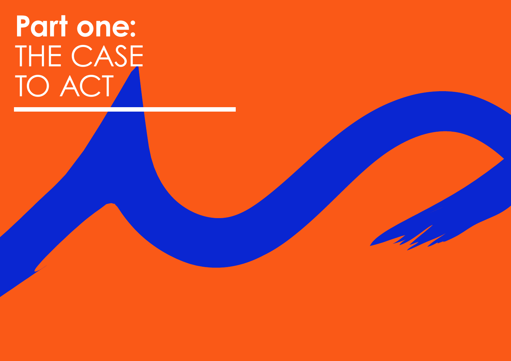

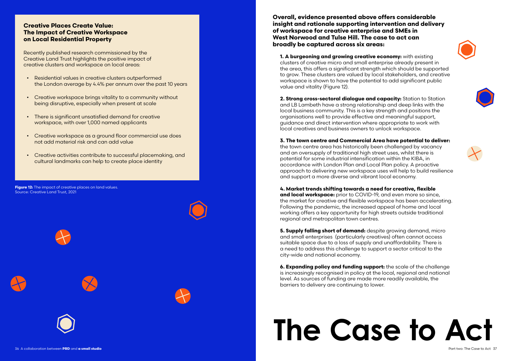**Figure 12:** The impact of creative places on land values. Source: Creative Land Trust, 2021











### **Creative Places Create Value: The Impact of Creative Workspace on Local Residential Property**

Recently published research commissioned by the Creative Land Trust highlights the positive impact of creative clusters and workspace on local areas:

- Residential values in creative clusters outperformed the London average by 4.4% per annum over the past 10 years
- Creative workspace brings vitality to a community without being disruptive, especially when present at scale
- There is significant unsatisfied demand for creative workspace, with over 1,000 named applicants
- Creative workspace as a ground floor commercial use does not add material risk and can add value
- Creative activities contribute to successful placemaking, and cultural landmarks can help to create place identity

**Overall, evidence presented above offers considerable insight and rationale supporting intervention and delivery of workspace for creative enterprise and SMEs in West Norwood and Tulse Hill. The case to act can broadly be captured across six areas:**

**1. A burgeoning and growing creative economy:** with existing clusters of creative micro and small enterprise already present in the area, this offers a significant strength which should be supported to grow. These clusters are valued by local stakeholders, and creative workspace is shown to have the potential to add significant public value and vitality (Figure 12).

**2. Strong cross-sectoral dialogue and capacity:** Station to Station and LB Lambeth have a strong relationship and deep links with the local business community. This is a key strength and positions the organisations well to provide effective and meaningful support, guidance and direct intervention where appropriate to work with local creatives and business owners to unlock workspace.

### **3. The town centre and Commercial Area have potential to deliver:**

the town centre area has historically been challenged by vacancy and an oversupply of traditional high street uses, whilst there is potential for some industrial intensification within the KIBA, in accordance with London Plan and Local Plan policy. A proactive approach to delivering new workspace uses will help to build resilience and support a more diverse and vibrant local economy.

**4. Market trends shifting towards a need for creative, flexible and local workspace:** prior to COVID-19, and even more so since, the market for creative and flexible workspace has been accelerating. Following the pandemic, the increased appeal of home and local working offers a key opportunity for high streets outside traditional regional and metropolitan town centres.

**5. Supply falling short of demand:** despite growing demand, micro and small enterprises (particularly creatives) often cannot access suitable space due to a loss of supply and unaffordability. There is a need to address this challenge to support a sector critical to the city-wide and national economy.

**6. Expanding policy and funding support:** the scale of the challenge is increasingly recognised in policy at the local, regional and national level. As sources of funding are made more readily available, the barriers to delivery are continuing to lower.

## **The Case to Act**







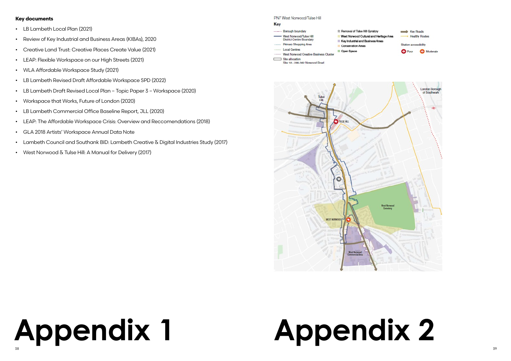### **Appendix 1** 38 39

- LB Lambeth Local Plan (2021)
- Review of Key Industrial and Business Areas (KIBAs), 2020
- Creative Land Trust: Creative Places Create Value (2021)
- LEAP: Flexible Workspace on our High Streets (2021)
- WLA Affordable Workspace Study (2021)
- LB Lambeth Revised Draft Affordable Workspace SPD (2022)
- LB Lambeth Draft Revised Local Plan Topic Paper 3 Workspace (2020)
- Workspace that Works, Future of London (2020)
- LB Lambeth Commercial Office Baseline Report, JLL (2020)
- LEAP: The Affordable Workspace Crisis: Overview and Reccomendations (2018)
- GLA 2018 Artists' Workspace Annual Data Note
- Lambeth Council and Southank BID: Lambeth Creative & Digital Industries Study (2017)
- West Norwood & Tulse Hill: A Manual for Delivery (2017)

PN7 West Norwood/Tulse Hill

### Key

- ...... Borough boundary West Norwood/Tulse Hill **District Centre Boundary**
- % Removal of Tulse Hill Gyratory
- West Norwood Cultural and Heritage Area
- Key Industrial and Business Areas
- Primary Shopping Area Conservation Areas
- Local Centres West Norwood Creative Business Cluster
- Site allocation
	- Site 18 286-362 Norwood Road
- 

Onen Snace



### **Key documents**

## **Appendix 2**